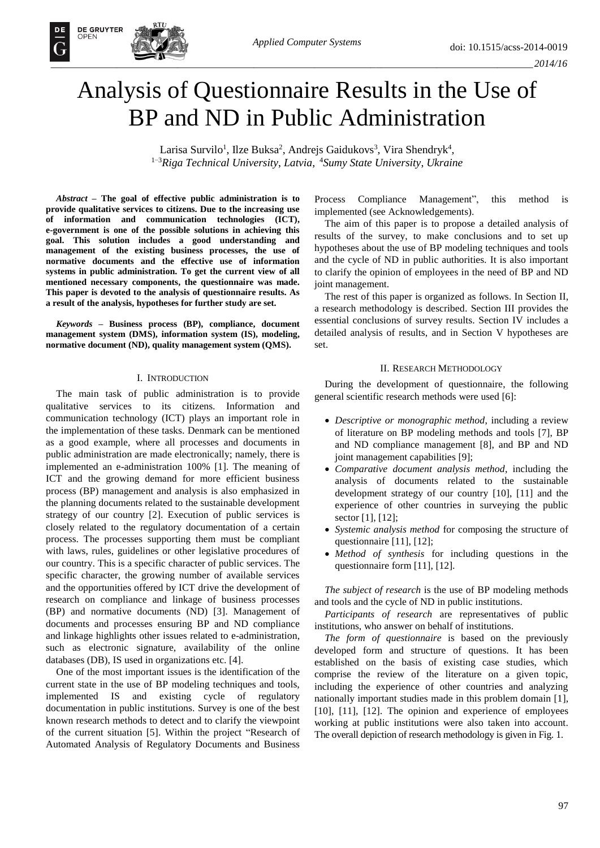# Analysis of Questionnaire Results in the Use of BP and ND in Public Administration

Larisa Survilo<sup>1</sup>, Ilze Buksa<sup>2</sup>, Andrejs Gaidukovs<sup>3</sup>, Vira Shendryk<sup>4</sup>, <sup>1</sup>*–*<sup>3</sup>*Riga Technical University*, *Latvia*, <sup>4</sup>*Sumy State University*, *Ukraine*

*Abstract –* **The goal of effective public administration is to provide qualitative services to citizens. Due to the increasing use of information and communication technologies (ICT), e-government is one of the possible solutions in achieving this goal. This solution includes a good understanding and management of the existing business processes, the use of normative documents and the effective use of information systems in public administration. To get the current view of all mentioned necessary components, the questionnaire was made. This paper is devoted to the analysis of questionnaire results. As a result of the analysis, hypotheses for further study are set.**

**DE GRUYTER** 

*Keywords* **– Business process (BP), compliance, document management system (DMS), information system (IS), modeling, normative document (ND), quality management system (QMS).**

## I. INTRODUCTION

The main task of public administration is to provide qualitative services to its citizens. Information and communication technology (ICT) plays an important role in the implementation of these tasks. Denmark can be mentioned as a good example, where all processes and documents in public administration are made electronically; namely, there is implemented an e-administration 100% [1]. The meaning of ICT and the growing demand for more efficient business process (BP) management and analysis is also emphasized in the planning documents related to the sustainable development strategy of our country [2]. Execution of public services is closely related to the regulatory documentation of a certain process. The processes supporting them must be compliant with laws, rules, guidelines or other legislative procedures of our country. This is a specific character of public services. The specific character, the growing number of available services and the opportunities offered by ICT drive the development of research on compliance and linkage of business processes (BP) and normative documents (ND) [3]. Management of documents and processes ensuring BP and ND compliance and linkage highlights other issues related to e-administration, such as electronic signature, availability of the online databases (DB), IS used in organizations etc. [4].

One of the most important issues is the identification of the current state in the use of BP modeling techniques and tools, implemented IS and existing cycle of regulatory documentation in public institutions. Survey is one of the best known research methods to detect and to clarify the viewpoint of the current situation [5]. Within the project "Research of Automated Analysis of Regulatory Documents and Business

Process Compliance Management", this method is implemented (see Acknowledgements).

The aim of this paper is to propose a detailed analysis of results of the survey, to make conclusions and to set up hypotheses about the use of BP modeling techniques and tools and the cycle of ND in public authorities. It is also important to clarify the opinion of employees in the need of BP and ND joint management.

The rest of this paper is organized as follows. In Section II, a research methodology is described. Section III provides the essential conclusions of survey results. Section IV includes a detailed analysis of results, and in Section V hypotheses are set.

# II. RESEARCH METHODOLOGY

During the development of questionnaire, the following general scientific research methods were used [6]:

- *Descriptive or monographic method*, including a review of literature on BP modeling methods and tools [7], BP and ND compliance management [8], and BP and ND joint management capabilities [9];
- *Comparative document analysis method*, including the analysis of documents related to the sustainable development strategy of our country [10], [11] and the experience of other countries in surveying the public sector [1], [12];
- *Systemic analysis method* for composing the structure of questionnaire [11], [12];
- *Method of synthesis* for including questions in the questionnaire form [11], [12].

*The subject of research* is the use of BP modeling methods and tools and the cycle of ND in public institutions.

*Participants of research* are representatives of public institutions, who answer on behalf of institutions.

*The form of questionnaire* is based on the previously developed form and structure of questions. It has been established on the basis of existing case studies, which comprise the review of the literature on a given topic, including the experience of other countries and analyzing nationally important studies made in this problem domain [1], [10], [11], [12]. The opinion and experience of employees working at public institutions were also taken into account. The overall depiction of research methodology is given in Fig. 1.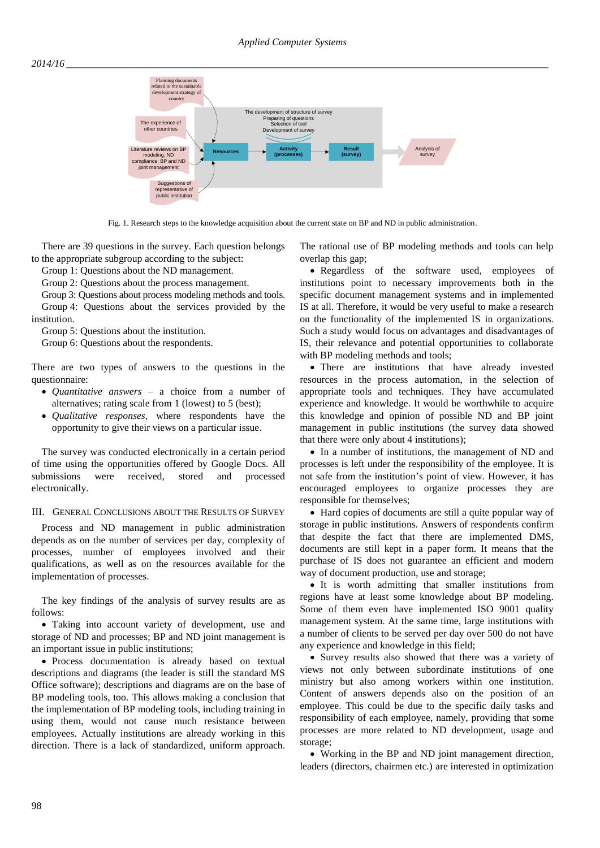

Fig. 1. Research steps to the knowledge acquisition about the current state on BP and ND in public administration.

There are 39 questions in the survey. Each question belongs to the appropriate subgroup according to the subject:

Group 1: Questions about the ND management.

Group 2: Questions about the process management.

Group 3: Questions about process modeling methods and tools. Group 4: Questions about the services provided by the institution.

Group 5: Questions about the institution.

Group 6: Questions about the respondents.

There are two types of answers to the questions in the questionnaire:

- *Quantitative answers* a choice from a number of alternatives; rating scale from 1 (lowest) to 5 (best);
- *Qualitative responses*, where respondents have the opportunity to give their views on a particular issue.

The survey was conducted electronically in a certain period of time using the opportunities offered by Google Docs. All submissions were received, stored and processed electronically.

# III. GENERAL CONCLUSIONS ABOUT THE RESULTS OF SURVEY

Process and ND management in public administration depends as on the number of services per day, complexity of processes, number of employees involved and their qualifications, as well as on the resources available for the implementation of processes.

The key findings of the analysis of survey results are as follows:

 Taking into account variety of development, use and storage of ND and processes; BP and ND joint management is an important issue in public institutions;

 Process documentation is already based on textual descriptions and diagrams (the leader is still the standard MS Office software); descriptions and diagrams are on the base of BP modeling tools, too. This allows making a conclusion that the implementation of BP modeling tools, including training in using them, would not cause much resistance between employees. Actually institutions are already working in this direction. There is a lack of standardized, uniform approach. The rational use of BP modeling methods and tools can help overlap this gap;

• Regardless of the software used, employees of institutions point to necessary improvements both in the specific document management systems and in implemented IS at all. Therefore, it would be very useful to make a research on the functionality of the implemented IS in organizations. Such a study would focus on advantages and disadvantages of IS, their relevance and potential opportunities to collaborate with BP modeling methods and tools;

 There are institutions that have already invested resources in the process automation, in the selection of appropriate tools and techniques. They have accumulated experience and knowledge. It would be worthwhile to acquire this knowledge and opinion of possible ND and BP joint management in public institutions (the survey data showed that there were only about 4 institutions);

• In a number of institutions, the management of ND and processes is left under the responsibility of the employee. It is not safe from the institution's point of view. However, it has encouraged employees to organize processes they are responsible for themselves;

 Hard copies of documents are still a quite popular way of storage in public institutions. Answers of respondents confirm that despite the fact that there are implemented DMS, documents are still kept in a paper form. It means that the purchase of IS does not guarantee an efficient and modern way of document production, use and storage;

 It is worth admitting that smaller institutions from regions have at least some knowledge about BP modeling. Some of them even have implemented ISO 9001 quality management system. At the same time, large institutions with a number of clients to be served per day over 500 do not have any experience and knowledge in this field;

• Survey results also showed that there was a variety of views not only between subordinate institutions of one ministry but also among workers within one institution. Content of answers depends also on the position of an employee. This could be due to the specific daily tasks and responsibility of each employee, namely, providing that some processes are more related to ND development, usage and storage;

 Working in the BP and ND joint management direction, leaders (directors, chairmen etc.) are interested in optimization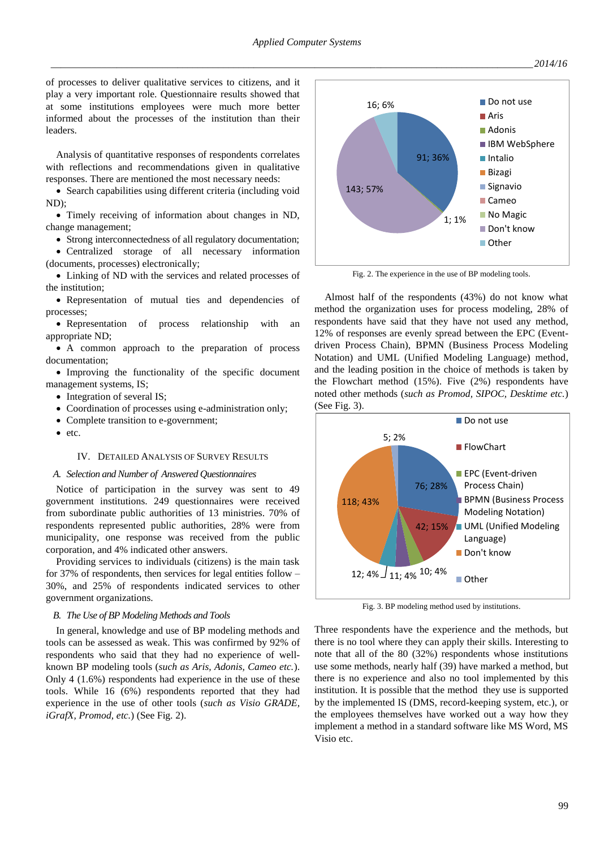of processes to deliver qualitative services to citizens, and it play a very important role. Questionnaire results showed that at some institutions employees were much more better informed about the processes of the institution than their leaders.

Analysis of quantitative responses of respondents correlates with reflections and recommendations given in qualitative responses. There are mentioned the most necessary needs:

 Search capabilities using different criteria (including void ND);

 Timely receiving of information about changes in ND, change management;

• Strong interconnectedness of all regulatory documentation;

 Centralized storage of all necessary information (documents, processes) electronically;

 Linking of ND with the services and related processes of the institution;

 Representation of mutual ties and dependencies of processes;

 Representation of process relationship with an appropriate ND;

 A common approach to the preparation of process documentation;

 Improving the functionality of the specific document management systems, IS;

- Integration of several IS;
- Coordination of processes using e-administration only;
- Complete transition to e-government;
- etc.

# IV. DETAILED ANALYSIS OF SURVEY RESULTS

#### *A. Selection and Number of Answered Questionnaires*

Notice of participation in the survey was sent to 49 government institutions. 249 questionnaires were received from subordinate public authorities of 13 ministries. 70% of respondents represented public authorities, 28% were from municipality, one response was received from the public corporation, and 4% indicated other answers.

Providing services to individuals (citizens) is the main task for 37% of respondents, then services for legal entities follow – 30%, and 25% of respondents indicated services to other government organizations.

### *B. The Use of BP Modeling Methods and Tools*

In general, knowledge and use of BP modeling methods and tools can be assessed as weak. This was confirmed by 92% of respondents who said that they had no experience of wellknown BP modeling tools (*such as Aris, Adonis, Cameo etc.*). Only 4 (1.6%) respondents had experience in the use of these tools. While 16 (6%) respondents reported that they had experience in the use of other tools (*such as Visio GRADE, iGrafX, Promod, etc.*) (See Fig. 2).



Fig. 2. The experience in the use of BP modeling tools.

Almost half of the respondents (43%) do not know what method the organization uses for process modeling, 28% of respondents have said that they have not used any method, 12% of responses are evenly spread between the EPC (Eventdriven Process Chain), BPMN (Business Process Modeling Notation) and UML (Unified Modeling Language) method, and the leading position in the choice of methods is taken by the Flowchart method (15%). Five (2%) respondents have noted other methods (*such as Promod, SIPOC, Desktime etc.*) (See Fig. 3).



Fig. 3. BP modeling method used by institutions.

Three respondents have the experience and the methods, but there is no tool where they can apply their skills. Interesting to note that all of the 80 (32%) respondents whose institutions use some methods, nearly half (39) have marked a method, but there is no experience and also no tool implemented by this institution. It is possible that the method they use is supported by the implemented IS (DMS, record-keeping system, etc.), or the employees themselves have worked out a way how they implement a method in a standard software like MS Word, MS Visio etc.

*\_\_\_\_\_\_\_\_\_\_\_\_\_\_\_\_\_\_\_\_\_\_\_\_\_\_\_\_\_\_\_\_\_\_\_\_\_\_\_\_\_\_\_\_\_\_\_\_\_\_\_\_\_\_\_\_\_\_\_\_\_\_\_\_\_\_\_\_\_\_\_\_\_\_\_\_\_\_\_\_\_\_\_\_\_\_\_\_\_\_\_\_\_\_\_2014/16*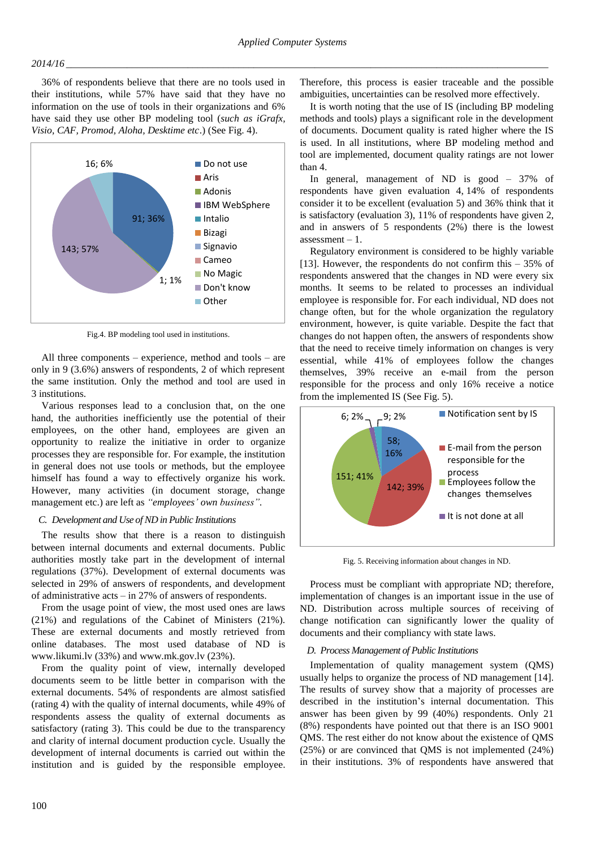## *2014/16 \_\_\_\_\_\_\_\_\_\_\_\_\_\_\_\_\_\_\_\_\_\_\_\_\_\_\_\_\_\_\_\_\_\_\_\_\_\_\_\_\_\_\_\_\_\_\_\_\_\_\_\_\_\_\_\_\_\_\_\_\_\_\_\_\_\_\_\_\_\_\_\_\_\_\_\_\_\_\_\_\_\_\_\_\_\_\_\_\_\_\_\_\_\_\_*

36% of respondents believe that there are no tools used in their institutions, while 57% have said that they have no information on the use of tools in their organizations and 6% have said they use other BP modeling tool (*such as iGrafx, Visio, CAF, Promod, Aloha, Desktime etc*.) (See Fig. 4).



Fig.4. BP modeling tool used in institutions.

All three components – experience, method and tools – are only in 9 (3.6%) answers of respondents, 2 of which represent the same institution. Only the method and tool are used in 3 institutions.

Various responses lead to a conclusion that, on the one hand, the authorities inefficiently use the potential of their employees, on the other hand, employees are given an opportunity to realize the initiative in order to organize processes they are responsible for. For example, the institution in general does not use tools or methods, but the employee himself has found a way to effectively organize his work. However, many activities (in document storage, change management etc.) are left as *"employees' own business".*

## *C. Development and Use of ND in Public Institutions*

The results show that there is a reason to distinguish between internal documents and external documents. Public authorities mostly take part in the development of internal regulations (37%). Development of external documents was selected in 29% of answers of respondents, and development of administrative acts – in 27% of answers of respondents.

From the usage point of view, the most used ones are laws (21%) and regulations of the Cabinet of Ministers (21%). These are external documents and mostly retrieved from online databases. The most used database of ND is www.likumi.lv (33%) and www.mk.gov.lv (23%).

From the quality point of view, internally developed documents seem to be little better in comparison with the external documents. 54% of respondents are almost satisfied (rating 4) with the quality of internal documents, while 49% of respondents assess the quality of external documents as satisfactory (rating 3). This could be due to the transparency and clarity of internal document production cycle. Usually the development of internal documents is carried out within the institution and is guided by the responsible employee. Therefore, this process is easier traceable and the possible ambiguities, uncertainties can be resolved more effectively.

It is worth noting that the use of IS (including BP modeling methods and tools) plays a significant role in the development of documents. Document quality is rated higher where the IS is used. In all institutions, where BP modeling method and tool are implemented, document quality ratings are not lower than 4.

In general, management of ND is good – 37% of respondents have given evaluation 4, 14% of respondents consider it to be excellent (evaluation 5) and 36% think that it is satisfactory (evaluation 3), 11% of respondents have given 2, and in answers of 5 respondents (2%) there is the lowest  $assessment - 1$ .

Regulatory environment is considered to be highly variable [13]. However, the respondents do not confirm this  $-35\%$  of respondents answered that the changes in ND were every six months. It seems to be related to processes an individual employee is responsible for. For each individual, ND does not change often, but for the whole organization the regulatory environment, however, is quite variable. Despite the fact that changes do not happen often, the answers of respondents show that the need to receive timely information on changes is very essential, while 41% of employees follow the changes themselves, 39% receive an e-mail from the person responsible for the process and only 16% receive a notice from the implemented IS (See Fig. 5).



Fig. 5. Receiving information about changes in ND.

Process must be compliant with appropriate ND; therefore, implementation of changes is an important issue in the use of ND. Distribution across multiple sources of receiving of change notification can significantly lower the quality of documents and their compliancy with state laws.

## *D. Process Management of Public Institutions*

Implementation of quality management system (QMS) usually helps to organize the process of ND management [14]. The results of survey show that a majority of processes are described in the institution's internal documentation. This answer has been given by 99 (40%) respondents. Only 21 (8%) respondents have pointed out that there is an ISO 9001 QMS. The rest either do not know about the existence of QMS (25%) or are convinced that QMS is not implemented (24%) in their institutions. 3% of respondents have answered that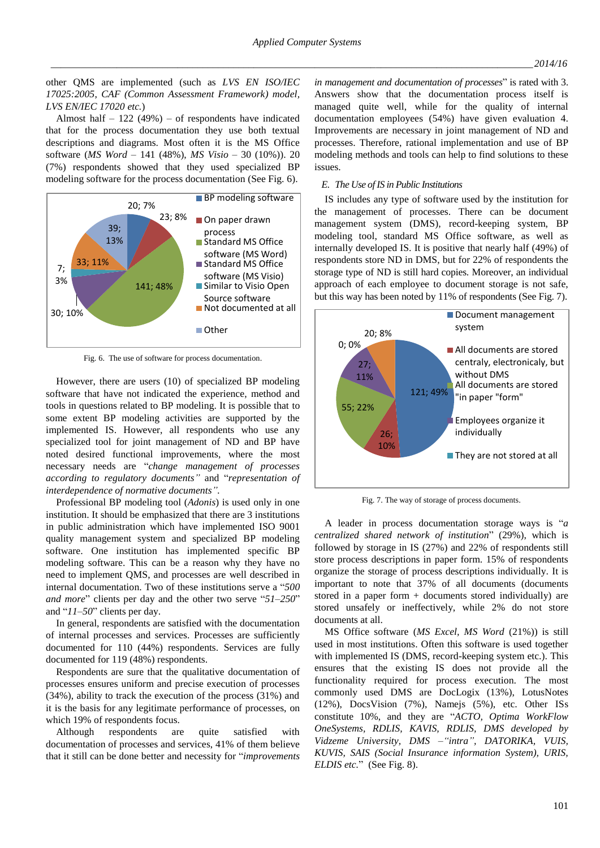other QMS are implemented (such as *LVS EN ISO/IEC 17025:2005*, *CAF (Common Assessment Framework) model, LVS EN/IEC 17020 etc.*)

Almost half  $-122(49%)$  – of respondents have indicated that for the process documentation they use both textual descriptions and diagrams. Most often it is the MS Office software (*MS Word –* 141 (48%), *MS Visio –* 30 (10%)). 20 (7%) respondents showed that they used specialized BP modeling software for the process documentation (See Fig. 6).



Fig. 6. The use of software for process documentation.

However, there are users (10) of specialized BP modeling software that have not indicated the experience, method and tools in questions related to BP modeling. It is possible that to some extent BP modeling activities are supported by the implemented IS. However, all respondents who use any specialized tool for joint management of ND and BP have noted desired functional improvements, where the most necessary needs are "*change management of processes according to regulatory documents"* and "*representation of interdependence of normative documents".*

Professional BP modeling tool (*Adonis*) is used only in one institution. It should be emphasized that there are 3 institutions in public administration which have implemented ISO 9001 quality management system and specialized BP modeling software. One institution has implemented specific BP modeling software. This can be a reason why they have no need to implement QMS, and processes are well described in internal documentation. Two of these institutions serve a "*500 and more*" clients per day and the other two serve "*51–250*" and "*11–50*" clients per day.

In general, respondents are satisfied with the documentation of internal processes and services. Processes are sufficiently documented for 110 (44%) respondents. Services are fully documented for 119 (48%) respondents.

Respondents are sure that the qualitative documentation of processes ensures uniform and precise execution of processes (34%), ability to track the execution of the process (31%) and it is the basis for any legitimate performance of processes, on which 19% of respondents focus.

Although respondents are quite satisfied with documentation of processes and services, 41% of them believe that it still can be done better and necessity for "*improvements* 

*in management and documentation of processes*" is rated with 3. Answers show that the documentation process itself is managed quite well, while for the quality of internal documentation employees (54%) have given evaluation 4. Improvements are necessary in joint management of ND and processes. Therefore, rational implementation and use of BP modeling methods and tools can help to find solutions to these issues.

## *E. The Use of IS in Public Institutions*

IS includes any type of software used by the institution for the management of processes. There can be document management system (DMS), record-keeping system, BP modeling tool, standard MS Office software, as well as internally developed IS. It is positive that nearly half (49%) of respondents store ND in DMS, but for 22% of respondents the storage type of ND is still hard copies. Moreover, an individual approach of each employee to document storage is not safe, but this way has been noted by 11% of respondents (See Fig. 7).



Fig. 7. The way of storage of process documents.

A leader in process documentation storage ways is "*a centralized shared network of institution*" (29%), which is followed by storage in IS (27%) and 22% of respondents still store process descriptions in paper form. 15% of respondents organize the storage of process descriptions individually. It is important to note that 37% of all documents (documents stored in a paper form + documents stored individually) are stored unsafely or ineffectively, while 2% do not store documents at all.

MS Office software (*MS Excel, MS Word* (21%)) is still used in most institutions. Often this software is used together with implemented IS (DMS, record-keeping system etc.). This ensures that the existing IS does not provide all the functionality required for process execution. The most commonly used DMS are DocLogix (13%), LotusNotes (12%), DocsVision (7%), Namejs (5%), etc. Other ISs constitute 10%, and they are "*ACTO, Optima WorkFlow OneSystems, RDLIS, KAVIS, RDLIS, DMS developed by Vidzeme University, DMS –"intra", DATORIKA, VUIS, KUVIS, SAIS (Social Insurance information System), URIS, ELDIS etc.*" (See Fig. 8).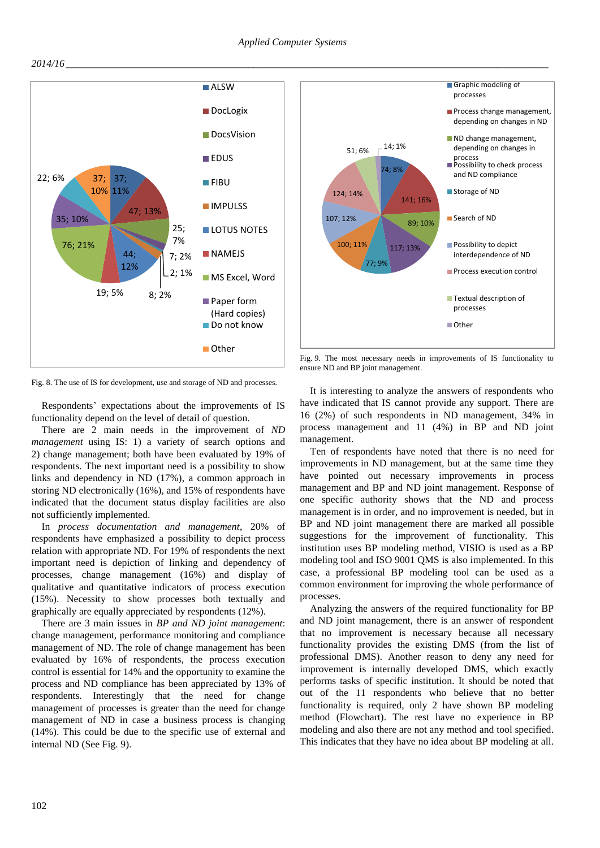



Fig. 8. The use of IS for development, use and storage of ND and processes.

Respondents' expectations about the improvements of IS functionality depend on the level of detail of question.

There are 2 main needs in the improvement of *ND management* using IS: 1) a variety of search options and 2) change management; both have been evaluated by 19% of respondents. The next important need is a possibility to show links and dependency in ND (17%), a common approach in storing ND electronically (16%), and 15% of respondents have indicated that the document status display facilities are also not sufficiently implemented.

In *process documentation and management*, 20% of respondents have emphasized a possibility to depict process relation with appropriate ND. For 19% of respondents the next important need is depiction of linking and dependency of processes, change management (16%) and display of qualitative and quantitative indicators of process execution (15%). Necessity to show processes both textually and graphically are equally appreciated by respondents (12%).

There are 3 main issues in *BP and ND joint management*: change management, performance monitoring and compliance management of ND. The role of change management has been evaluated by 16% of respondents, the process execution control is essential for 14% and the opportunity to examine the process and ND compliance has been appreciated by 13% of respondents. Interestingly that the need for change management of processes is greater than the need for change management of ND in case a business process is changing (14%). This could be due to the specific use of external and internal ND (See Fig. 9).



Fig. 9. The most necessary needs in improvements of IS functionality to ensure ND and BP joint management.

It is interesting to analyze the answers of respondents who have indicated that IS cannot provide any support. There are 16 (2%) of such respondents in ND management, 34% in process management and 11 (4%) in BP and ND joint management.

Ten of respondents have noted that there is no need for improvements in ND management, but at the same time they have pointed out necessary improvements in process management and BP and ND joint management. Response of one specific authority shows that the ND and process management is in order, and no improvement is needed, but in BP and ND joint management there are marked all possible suggestions for the improvement of functionality. This institution uses BP modeling method, VISIO is used as a BP modeling tool and ISO 9001 QMS is also implemented. In this case, a professional BP modeling tool can be used as a common environment for improving the whole performance of processes.

Analyzing the answers of the required functionality for BP and ND joint management, there is an answer of respondent that no improvement is necessary because all necessary functionality provides the existing DMS (from the list of professional DMS). Another reason to deny any need for improvement is internally developed DMS, which exactly performs tasks of specific institution. It should be noted that out of the 11 respondents who believe that no better functionality is required, only 2 have shown BP modeling method (Flowchart). The rest have no experience in BP modeling and also there are not any method and tool specified. This indicates that they have no idea about BP modeling at all.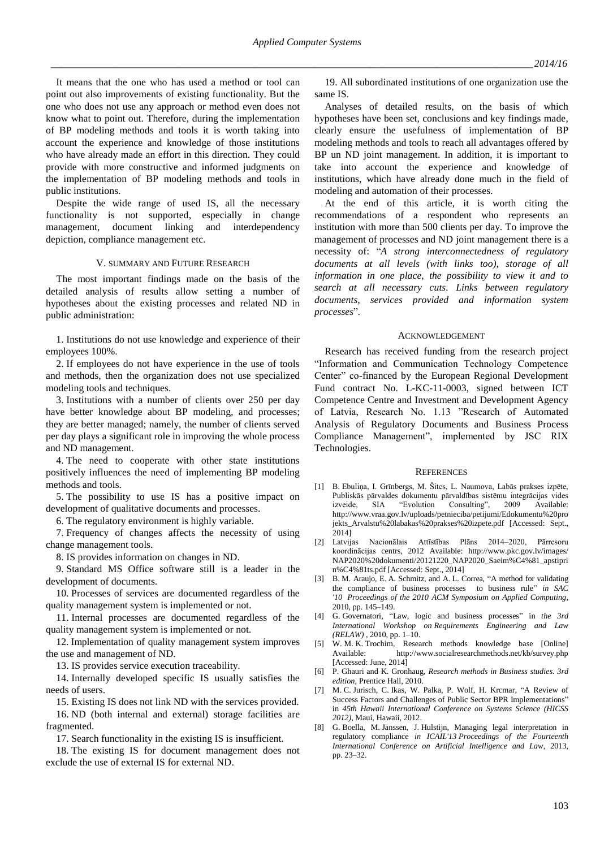It means that the one who has used a method or tool can point out also improvements of existing functionality. But the one who does not use any approach or method even does not know what to point out. Therefore, during the implementation of BP modeling methods and tools it is worth taking into account the experience and knowledge of those institutions who have already made an effort in this direction. They could provide with more constructive and informed judgments on the implementation of BP modeling methods and tools in public institutions.

Despite the wide range of used IS, all the necessary functionality is not supported, especially in change management, document linking and interdependency depiction, compliance management etc.

# V. SUMMARY AND FUTURE RESEARCH

The most important findings made on the basis of the detailed analysis of results allow setting a number of hypotheses about the existing processes and related ND in public administration:

1. Institutions do not use knowledge and experience of their employees 100%.

2. If employees do not have experience in the use of tools and methods, then the organization does not use specialized modeling tools and techniques.

3. Institutions with a number of clients over 250 per day have better knowledge about BP modeling, and processes; they are better managed; namely, the number of clients served per day plays a significant role in improving the whole process and ND management.

4. The need to cooperate with other state institutions positively influences the need of implementing BP modeling methods and tools.

5. The possibility to use IS has a positive impact on development of qualitative documents and processes.

6. The regulatory environment is highly variable.

7. Frequency of changes affects the necessity of using change management tools.

8. IS provides information on changes in ND.

9. Standard MS Office software still is a leader in the development of documents.

10. Processes of services are documented regardless of the quality management system is implemented or not.

11. Internal processes are documented regardless of the quality management system is implemented or not.

12. Implementation of quality management system improves the use and management of ND.

13. IS provides service execution traceability.

14. Internally developed specific IS usually satisfies the needs of users.

15. Existing IS does not link ND with the services provided.

16. ND (both internal and external) storage facilities are fragmented.

17. Search functionality in the existing IS is insufficient.

18. The existing IS for document management does not exclude the use of external IS for external ND.

19. All subordinated institutions of one organization use the same IS.

Analyses of detailed results, on the basis of which hypotheses have been set, conclusions and key findings made, clearly ensure the usefulness of implementation of BP modeling methods and tools to reach all advantages offered by BP un ND joint management. In addition, it is important to take into account the experience and knowledge of institutions, which have already done much in the field of modeling and automation of their processes.

At the end of this article, it is worth citing the recommendations of a respondent who represents an institution with more than 500 clients per day. To improve the management of processes and ND joint management there is a necessity of: "*A strong interconnectedness of regulatory documents at all levels (with links too), storage of all information in one place, the possibility to view it and to search at all necessary cuts. Links between regulatory documents, services provided and information system processes*"*.*

## ACKNOWLEDGEMENT

Research has received funding from the research project "Information and Communication Technology Competence Center" co-financed by the European Regional Development Fund contract No. L-KC-11-0003, signed between ICT Competence Centre and Investment and Development Agency of Latvia, Research No. 1.13 "Research of Automated Analysis of Regulatory Documents and Business Process Compliance Management", implemented by JSC RIX Technologies.

## **REFERENCES**

- [1] B. Ebuliņa, I. Grīnbergs, M. Šitcs, L. Naumova, Labās prakses izpēte, Publiskās pārvaldes dokumentu pārvaldības sistēmu integrācijas vides izveide, SIA "Evolution Consulting", 2009 Available: http://www.vraa.gov.lv/uploads/petnieciba/petijumi/Edokumentu%20pro jekts\_Arvalstu%20labakas%20prakses%20izpete.pdf [Accessed: Sept., 2014]
- [2] Latvijas Nacionālais Attīstības Plāns 2014–2020, Pārresoru koordinācijas centrs, 2012 Available: http://www.pkc.gov.lv/images/ NAP2020%20dokumenti/20121220\_NAP2020\_Saeim%C4%81\_apstipri n%C4%81ts.pdf [Accessed: Sept., 2014]
- [3] B. M. Araujo, E. A. Schmitz, and A. L. Correa, "A method for validating the compliance of business processes to business rule" *in [SAC](http://www.acm.org/conferences/sac/sac2010)  ['10](http://www.acm.org/conferences/sac/sac2010) Proceedings of the 2010 ACM Symposium on Applied Computing,*  2010, pp. 145–149.
- [4] G. Governatori, "Law, logic and business processes" in *the 3rd International Workshop on Requirements Engineering and Law (RELAW)* , 2010, pp. 1–10.
- [5] W. M. K. Trochim, Research methods knowledge base [Online] Available: http://www.socialresearchmethods.net/kb/survey.php [Accessed: June, 2014]
- [6] P. Ghauri and K. Gronhaug, *Research methods in Business studies. 3rd edition*, Prentice Hall, 2010.
- [7] M. C. Jurisch, C. Ikas, W. Palka, P. Wolf, H. Krcmar, "A Review of Success Factors and Challenges of Public Sector BPR Implementations" in *45th Hawaii International Conference on Systems Science (HICSS 2012)*, Maui, Hawaii, 2012.
- [8] G. Boella, M. Janssen, J. Hulstijn, Managing legal interpretation in regulatory compliance *in [ICAIL'13](http://icail2013.ittig.cnr.it/) Proceedings of the Fourteenth International Conference on Artificial Intelligence and Law*, 2013, pp. 23–32.